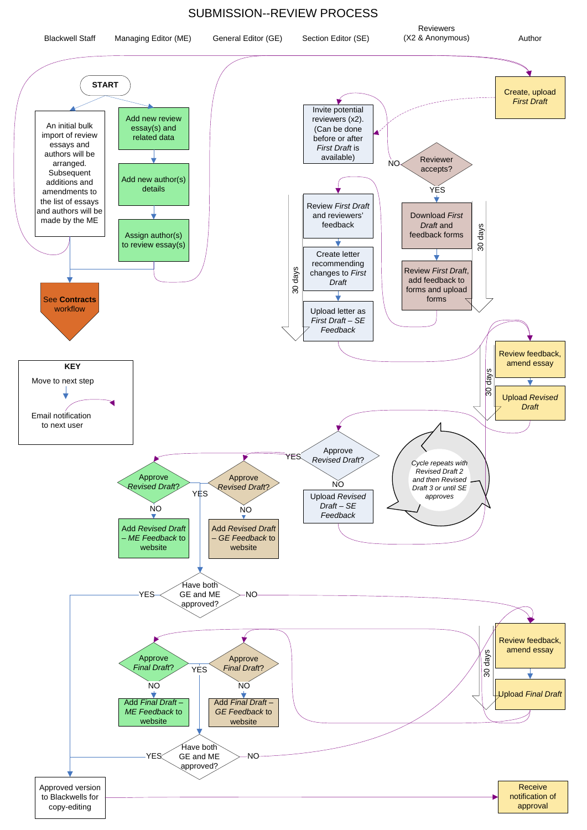## SUBMISSION--REVIEW PROCESS